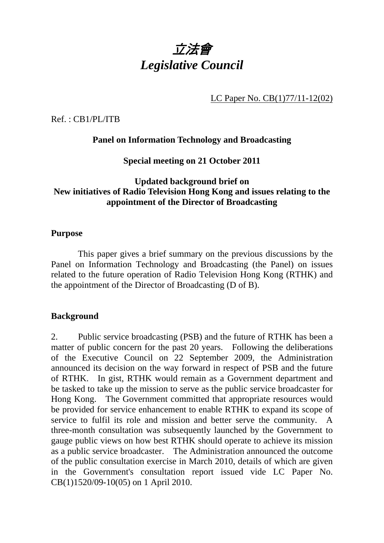

LC Paper No. CB(1)77/11-12(02)

Ref. : CB1/PL/ITB

## **Panel on Information Technology and Broadcasting**

## **Special meeting on 21 October 2011**

# **Updated background brief on New initiatives of Radio Television Hong Kong and issues relating to the appointment of the Director of Broadcasting**

### **Purpose**

 This paper gives a brief summary on the previous discussions by the Panel on Information Technology and Broadcasting (the Panel) on issues related to the future operation of Radio Television Hong Kong (RTHK) and the appointment of the Director of Broadcasting (D of B).

## **Background**

2. Public service broadcasting (PSB) and the future of RTHK has been a matter of public concern for the past 20 years. Following the deliberations of the Executive Council on 22 September 2009, the Administration announced its decision on the way forward in respect of PSB and the future of RTHK. In gist, RTHK would remain as a Government department and be tasked to take up the mission to serve as the public service broadcaster for Hong Kong. The Government committed that appropriate resources would be provided for service enhancement to enable RTHK to expand its scope of service to fulfil its role and mission and better serve the community. A three-month consultation was subsequently launched by the Government to gauge public views on how best RTHK should operate to achieve its mission as a public service broadcaster. The Administration announced the outcome of the public consultation exercise in March 2010, details of which are given in the Government's consultation report issued vide LC Paper No. CB(1)1520/09-10(05) on 1 April 2010.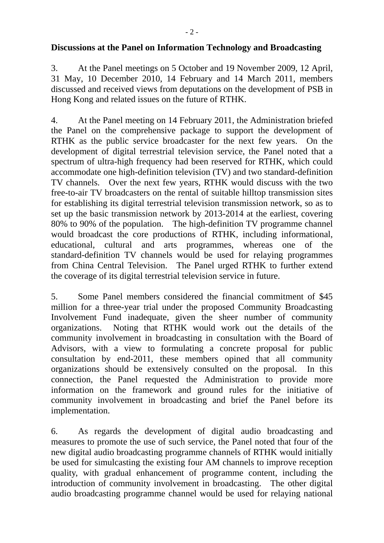## **Discussions at the Panel on Information Technology and Broadcasting**

3. At the Panel meetings on 5 October and 19 November 2009, 12 April, 31 May, 10 December 2010, 14 February and 14 March 2011, members discussed and received views from deputations on the development of PSB in Hong Kong and related issues on the future of RTHK.

4. At the Panel meeting on 14 February 2011, the Administration briefed the Panel on the comprehensive package to support the development of RTHK as the public service broadcaster for the next few years. On the development of digital terrestrial television service, the Panel noted that a spectrum of ultra-high frequency had been reserved for RTHK, which could accommodate one high-definition television (TV) and two standard-definition TV channels. Over the next few years, RTHK would discuss with the two free-to-air TV broadcasters on the rental of suitable hilltop transmission sites for establishing its digital terrestrial television transmission network, so as to set up the basic transmission network by 2013-2014 at the earliest, covering 80% to 90% of the population. The high-definition TV programme channel would broadcast the core productions of RTHK, including informational, educational, cultural and arts programmes, whereas one of the standard-definition TV channels would be used for relaying programmes from China Central Television. The Panel urged RTHK to further extend the coverage of its digital terrestrial television service in future.

5. Some Panel members considered the financial commitment of \$45 million for a three-year trial under the proposed Community Broadcasting Involvement Fund inadequate, given the sheer number of community organizations. Noting that RTHK would work out the details of the community involvement in broadcasting in consultation with the Board of Advisors, with a view to formulating a concrete proposal for public consultation by end-2011, these members opined that all community organizations should be extensively consulted on the proposal. In this connection, the Panel requested the Administration to provide more information on the framework and ground rules for the initiative of community involvement in broadcasting and brief the Panel before its implementation.

6. As regards the development of digital audio broadcasting and measures to promote the use of such service, the Panel noted that four of the new digital audio broadcasting programme channels of RTHK would initially be used for simulcasting the existing four AM channels to improve reception quality, with gradual enhancement of programme content, including the introduction of community involvement in broadcasting. The other digital audio broadcasting programme channel would be used for relaying national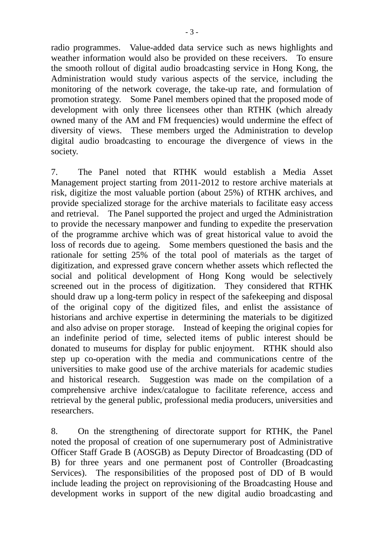radio programmes. Value-added data service such as news highlights and weather information would also be provided on these receivers. To ensure the smooth rollout of digital audio broadcasting service in Hong Kong, the Administration would study various aspects of the service, including the monitoring of the network coverage, the take-up rate, and formulation of promotion strategy. Some Panel members opined that the proposed mode of development with only three licensees other than RTHK (which already owned many of the AM and FM frequencies) would undermine the effect of diversity of views. These members urged the Administration to develop digital audio broadcasting to encourage the divergence of views in the society.

7. The Panel noted that RTHK would establish a Media Asset Management project starting from 2011-2012 to restore archive materials at risk, digitize the most valuable portion (about 25%) of RTHK archives, and provide specialized storage for the archive materials to facilitate easy access and retrieval. The Panel supported the project and urged the Administration to provide the necessary manpower and funding to expedite the preservation of the programme archive which was of great historical value to avoid the loss of records due to ageing. Some members questioned the basis and the rationale for setting 25% of the total pool of materials as the target of digitization, and expressed grave concern whether assets which reflected the social and political development of Hong Kong would be selectively screened out in the process of digitization. They considered that RTHK should draw up a long-term policy in respect of the safekeeping and disposal of the original copy of the digitized files, and enlist the assistance of historians and archive expertise in determining the materials to be digitized and also advise on proper storage. Instead of keeping the original copies for an indefinite period of time, selected items of public interest should be donated to museums for display for public enjoyment. RTHK should also step up co-operation with the media and communications centre of the universities to make good use of the archive materials for academic studies and historical research. Suggestion was made on the compilation of a comprehensive archive index/catalogue to facilitate reference, access and retrieval by the general public, professional media producers, universities and researchers.

8. On the strengthening of directorate support for RTHK, the Panel noted the proposal of creation of one supernumerary post of Administrative Officer Staff Grade B (AOSGB) as Deputy Director of Broadcasting (DD of B) for three years and one permanent post of Controller (Broadcasting Services). The responsibilities of the proposed post of DD of B would include leading the project on reprovisioning of the Broadcasting House and development works in support of the new digital audio broadcasting and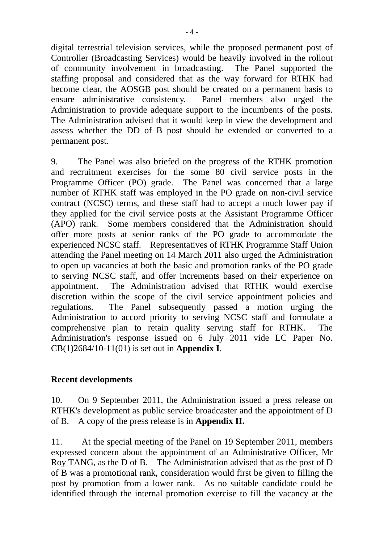digital terrestrial television services, while the proposed permanent post of Controller (Broadcasting Services) would be heavily involved in the rollout of community involvement in broadcasting. The Panel supported the staffing proposal and considered that as the way forward for RTHK had become clear, the AOSGB post should be created on a permanent basis to ensure administrative consistency. Panel members also urged the Administration to provide adequate support to the incumbents of the posts. The Administration advised that it would keep in view the development and assess whether the DD of B post should be extended or converted to a permanent post.

9. The Panel was also briefed on the progress of the RTHK promotion and recruitment exercises for the some 80 civil service posts in the Programme Officer (PO) grade. The Panel was concerned that a large number of RTHK staff was employed in the PO grade on non-civil service contract (NCSC) terms, and these staff had to accept a much lower pay if they applied for the civil service posts at the Assistant Programme Officer (APO) rank. Some members considered that the Administration should offer more posts at senior ranks of the PO grade to accommodate the experienced NCSC staff. Representatives of RTHK Programme Staff Union attending the Panel meeting on 14 March 2011 also urged the Administration to open up vacancies at both the basic and promotion ranks of the PO grade to serving NCSC staff, and offer increments based on their experience on appointment. The Administration advised that RTHK would exercise discretion within the scope of the civil service appointment policies and regulations. The Panel subsequently passed a motion urging the Administration to accord priority to serving NCSC staff and formulate a comprehensive plan to retain quality serving staff for RTHK. The Administration's response issued on 6 July 2011 vide LC Paper No. CB(1)2684/10-11(01) is set out in **Appendix I**.

## **Recent developments**

10. On 9 September 2011, the Administration issued a press release on RTHK's development as public service broadcaster and the appointment of D of B. A copy of the press release is in **Appendix II.**

11. At the special meeting of the Panel on 19 September 2011, members expressed concern about the appointment of an Administrative Officer, Mr Roy TANG, as the D of B. The Administration advised that as the post of D of B was a promotional rank, consideration would first be given to filling the post by promotion from a lower rank. As no suitable candidate could be identified through the internal promotion exercise to fill the vacancy at the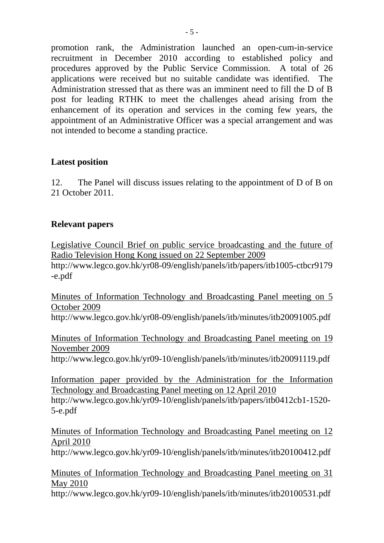promotion rank, the Administration launched an open-cum-in-service recruitment in December 2010 according to established policy and procedures approved by the Public Service Commission. A total of 26 applications were received but no suitable candidate was identified. The Administration stressed that as there was an imminent need to fill the D of B post for leading RTHK to meet the challenges ahead arising from the enhancement of its operation and services in the coming few years, the appointment of an Administrative Officer was a special arrangement and was not intended to become a standing practice.

## **Latest position**

12. The Panel will discuss issues relating to the appointment of D of B on 21 October 2011.

## **Relevant papers**

Legislative Council Brief on public service broadcasting and the future of Radio Television Hong Kong issued on 22 September 2009 http://www.legco.gov.hk/yr08-09/english/panels/itb/papers/itb1005-ctbcr9179 -e.pdf

Minutes of Information Technology and Broadcasting Panel meeting on 5 October 2009 http://www.legco.gov.hk/yr08-09/english/panels/itb/minutes/itb20091005.pdf

Minutes of Information Technology and Broadcasting Panel meeting on 19 November 2009

http://www.legco.gov.hk/yr09-10/english/panels/itb/minutes/itb20091119.pdf

Information paper provided by the Administration for the Information Technology and Broadcasting Panel meeting on 12 April 2010 http://www.legco.gov.hk/yr09-10/english/panels/itb/papers/itb0412cb1-1520- 5-e.pdf

Minutes of Information Technology and Broadcasting Panel meeting on 12 April 2010

http://www.legco.gov.hk/yr09-10/english/panels/itb/minutes/itb20100412.pdf

Minutes of Information Technology and Broadcasting Panel meeting on 31 May 2010

http://www.legco.gov.hk/yr09-10/english/panels/itb/minutes/itb20100531.pdf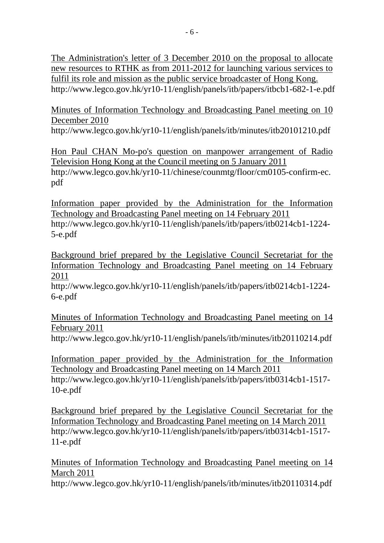The Administration's letter of 3 December 2010 on the proposal to allocate new resources to RTHK as from 2011-2012 for launching various services to fulfil its role and mission as the public service broadcaster of Hong Kong. http://www.legco.gov.hk/yr10-11/english/panels/itb/papers/itbcb1-682-1-e.pdf

Minutes of Information Technology and Broadcasting Panel meeting on 10 December 2010

http://www.legco.gov.hk/yr10-11/english/panels/itb/minutes/itb20101210.pdf

Hon Paul CHAN Mo-po's question on manpower arrangement of Radio Television Hong Kong at the Council meeting on 5 January 2011 http://www.legco.gov.hk/yr10-11/chinese/counmtg/floor/cm0105-confirm-ec. pdf

Information paper provided by the Administration for the Information Technology and Broadcasting Panel meeting on 14 February 2011 http://www.legco.gov.hk/yr10-11/english/panels/itb/papers/itb0214cb1-1224- 5-e.pdf

Background brief prepared by the Legislative Council Secretariat for the Information Technology and Broadcasting Panel meeting on 14 February 2011

http://www.legco.gov.hk/yr10-11/english/panels/itb/papers/itb0214cb1-1224- 6-e.pdf

Minutes of Information Technology and Broadcasting Panel meeting on 14 February 2011

http://www.legco.gov.hk/yr10-11/english/panels/itb/minutes/itb20110214.pdf

Information paper provided by the Administration for the Information Technology and Broadcasting Panel meeting on 14 March 2011 http://www.legco.gov.hk/yr10-11/english/panels/itb/papers/itb0314cb1-1517-

10-e.pdf

Background brief prepared by the Legislative Council Secretariat for the Information Technology and Broadcasting Panel meeting on 14 March 2011 http://www.legco.gov.hk/yr10-11/english/panels/itb/papers/itb0314cb1-1517- 11-e.pdf

Minutes of Information Technology and Broadcasting Panel meeting on 14 March 2011

http://www.legco.gov.hk/yr10-11/english/panels/itb/minutes/itb20110314.pdf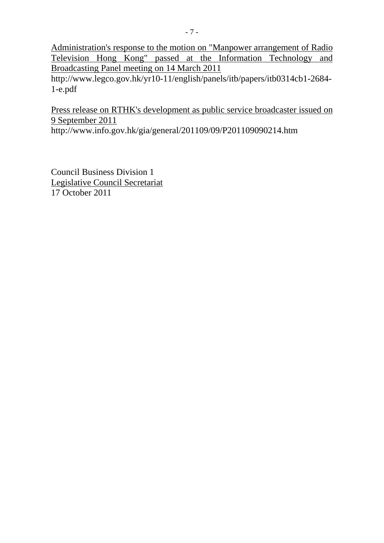Administration's response to the motion on "Manpower arrangement of Radio Television Hong Kong" passed at the Information Technology and Broadcasting Panel meeting on 14 March 2011

http://www.legco.gov.hk/yr10-11/english/panels/itb/papers/itb0314cb1-2684- 1-e.pdf

Press release on RTHK's development as public service broadcaster issued on 9 September 2011

http://www.info.gov.hk/gia/general/201109/09/P201109090214.htm

Council Business Division 1 Legislative Council Secretariat 17 October 2011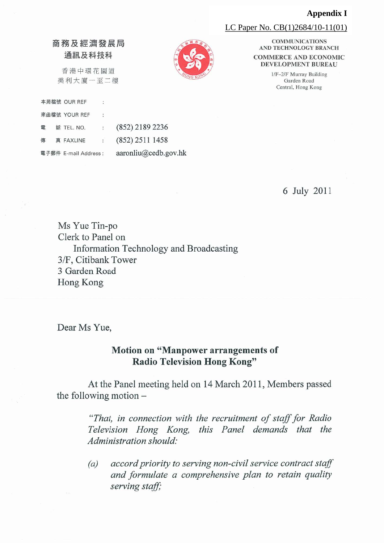#### **Appendix I**

LC Paper No. CB(1)2684/10-11(01)

### 商務及經濟發展局 通訊及科技科

香港中環花園道 美利大廈一至二樓

|   |  | 本局檔號 OUR REF          |                |                      |
|---|--|-----------------------|----------------|----------------------|
|   |  | 來函檔號 YOUR REF         | ÷              |                      |
| 電 |  | 話 TEL. NO.            | $\ddot{\cdot}$ | (852) 2189 2236      |
| 傳 |  | 真 FAXLINE             | £.             | $(852)$ 2511 1458    |
|   |  | 電子郵件 E-mail Address : |                | aaronliu@cedb.gov.hk |

**COMMUNICATIONS** AND TECHNOLOGY BRANCH **COMMERCE AND ECONOMIC** DEVELOPMENT BUREAU

> 1/F-2/F Murray Building Garden Road Central, Hong Kong

> > 6 July 2011

Ms Yue Tin-po Clerk to Panel on Information Technology and Broadcasting 3/F, Citibank Tower 3 Garden Road Hong Kong

Dear Ms Yue,

# Motion on "Manpower arrangements of **Radio Television Hong Kong"**

At the Panel meeting held on 14 March 2011, Members passed the following motion  $-$ 

> "That, in connection with the recruitment of staff for Radio Television Hong Kong, this Panel demands that the Administration should:

> accord priority to serving non-civil service contract staff  $(a)$ and formulate a comprehensive plan to retain quality serving staff;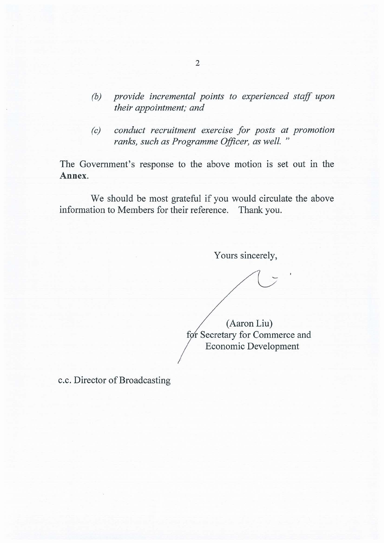- provide incremental points to experienced staff upon  $(b)$ their appointment; and
- conduct recruitment exercise for posts at promotion  $(c)$ ranks, such as Programme Officer, as well."

The Government's response to the above motion is set out in the Annex.

We should be most grateful if you would circulate the above information to Members for their reference. Thank you.

Yours sincerely,

(Aaron Liu) for Secretary for Commerce and **Economic Development** 

c.c. Director of Broadcasting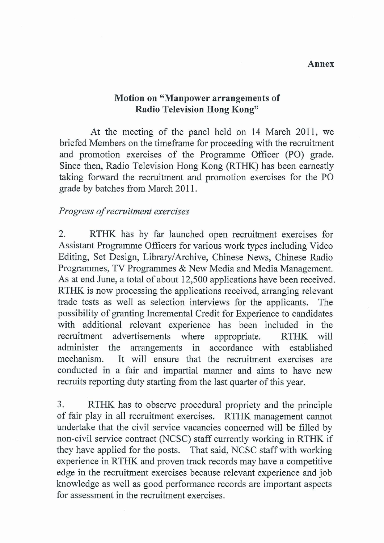## **Motion on "Manpower arrangements of** Radio Television Hong Kong"

At the meeting of the panel held on 14 March 2011, we briefed Members on the timeframe for proceeding with the recruitment and promotion exercises of the Programme Officer (PO) grade. Since then, Radio Television Hong Kong (RTHK) has been earnestly taking forward the recruitment and promotion exercises for the PO grade by batches from March 2011.

### Progress of recruitment exercises

RTHK has by far launched open recruitment exercises for  $\overline{2}$ . Assistant Programme Officers for various work types including Video Editing, Set Design, Library/Archive, Chinese News, Chinese Radio Programmes, TV Programmes & New Media and Media Management. As at end June, a total of about 12,500 applications have been received. RTHK is now processing the applications received, arranging relevant trade tests as well as selection interviews for the applicants. The possibility of granting Incremental Credit for Experience to candidates with additional relevant experience has been included in the recruitment advertisements where appropriate. **RTHK** will administer the accordance with arrangements in established mechanism. It will ensure that the recruitment exercises are conducted in a fair and impartial manner and aims to have new recruits reporting duty starting from the last quarter of this year.

3. RTHK has to observe procedural propriety and the principle of fair play in all recruitment exercises. RTHK management cannot undertake that the civil service vacancies concerned will be filled by non-civil service contract (NCSC) staff currently working in RTHK if they have applied for the posts. That said, NCSC staff with working experience in RTHK and proven track records may have a competitive edge in the recruitment exercises because relevant experience and job knowledge as well as good performance records are important aspects for assessment in the recruitment exercises.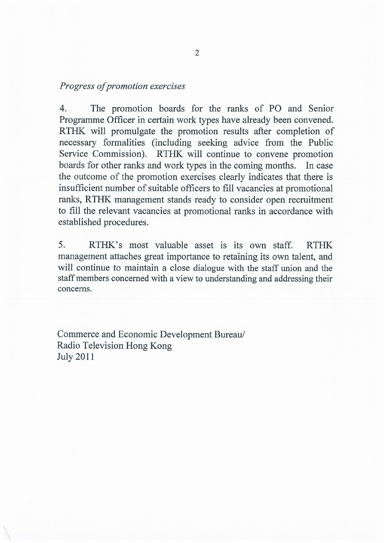### Progress of promotion exercises

The promotion boards for the ranks of PO and Senior  $4.$ Programme Officer in certain work types have already been convened. RTHK will promulgate the promotion results after completion of necessary formalities (including seeking advice from the Public Service Commission). RTHK will continue to convene promotion boards for other ranks and work types in the coming months. In case the outcome of the promotion exercises clearly indicates that there is insufficient number of suitable officers to fill vacancies at promotional ranks, RTHK management stands ready to consider open recruitment to fill the relevant vacancies at promotional ranks in accordance with established procedures.

5. RTHK's most valuable asset is its own staff. **RTHK** management attaches great importance to retaining its own talent, and will continue to maintain a close dialogue with the staff union and the staff members concerned with a view to understanding and addressing their concerns.

Commerce and Economic Development Bureau/ Radio Television Hong Kong **July 2011**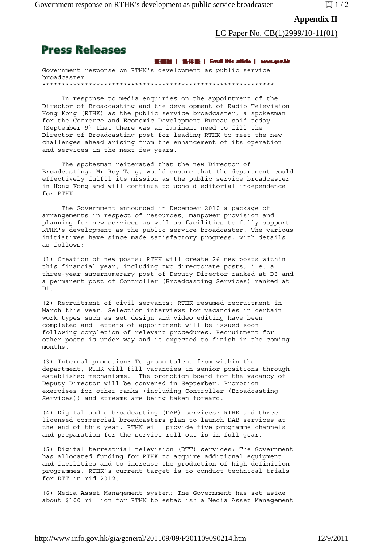### **Appendix II**

LC Paper No. CB(1)2999/10-11(01)

# **Press Releases**

鉴量器 | 集体版 | Gmail this atticle | severagevide

Government response on RTHK's development as public service broadcaster \*\*\*\*\*\*\*\*\*\*\*\*\*\*\*\*\*\*\*\*\*\*\*\*\*\*\*\*\*\*\*\*\*\*\*\*\*\*\*\*\*\*\*\*\*\*\*\*\*\*\*\*\*\*\*\*\*\*\*\*

 In response to media enquiries on the appointment of the Director of Broadcasting and the development of Radio Television Hong Kong (RTHK) as the public service broadcaster, a spokesman for the Commerce and Economic Development Bureau said today (September 9) that there was an imminent need to fill the Director of Broadcasting post for leading RTHK to meet the new challenges ahead arising from the enhancement of its operation and services in the next few years.

 The spokesman reiterated that the new Director of Broadcasting, Mr Roy Tang, would ensure that the department could effectively fulfil its mission as the public service broadcaster in Hong Kong and will continue to uphold editorial independence for RTHK.

 The Government announced in December 2010 a package of arrangements in respect of resources, manpower provision and planning for new services as well as facilities to fully support RTHK's development as the public service broadcaster. The various initiatives have since made satisfactory progress, with details as follows:

(1) Creation of new posts: RTHK will create 26 new posts within this financial year, including two directorate posts, i.e. a three-year supernumerary post of Deputy Director ranked at D3 and a permanent post of Controller (Broadcasting Services) ranked at D1.

(2) Recruitment of civil servants: RTHK resumed recruitment in March this year. Selection interviews for vacancies in certain work types such as set design and video editing have been completed and letters of appointment will be issued soon following completion of relevant procedures. Recruitment for other posts is under way and is expected to finish in the coming months.

(3) Internal promotion: To groom talent from within the department, RTHK will fill vacancies in senior positions through established mechanisms. The promotion board for the vacancy of Deputy Director will be convened in September. Promotion exercises for other ranks (including Controller (Broadcasting Services)) and streams are being taken forward.

(4) Digital audio broadcasting (DAB) services: RTHK and three licensed commercial broadcasters plan to launch DAB services at the end of this year. RTHK will provide five programme channels and preparation for the service roll-out is in full gear.

(5) Digital terrestrial television (DTT) services: The Government has allocated funding for RTHK to acquire additional equipment and facilities and to increase the production of high-definition programmes. RTHK's current target is to conduct technical trials for DTT in mid-2012.

(6) Media Asset Management system: The Government has set aside about \$100 million for RTHK to establish a Media Asset Management

http://www.info.gov.hk/gia/general/201109/09/P201109090214.htm 12/9/2011